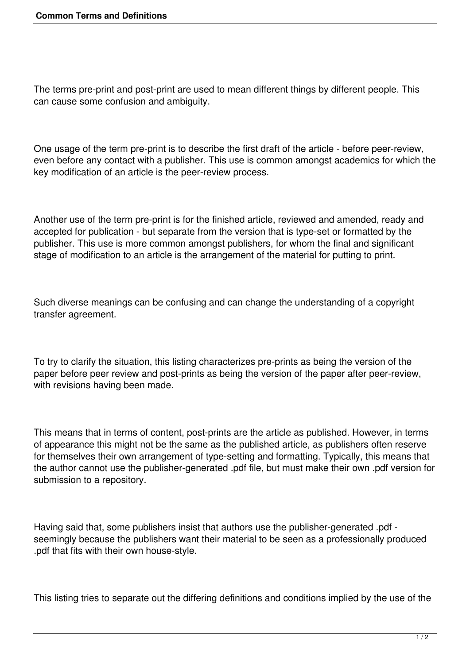The terms pre-print and post-print are used to mean different things by different people. This can cause some confusion and ambiguity.

One usage of the term pre-print is to describe the first draft of the article - before peer-review, even before any contact with a publisher. This use is common amongst academics for which the key modification of an article is the peer-review process.

Another use of the term pre-print is for the finished article, reviewed and amended, ready and accepted for publication - but separate from the version that is type-set or formatted by the publisher. This use is more common amongst publishers, for whom the final and significant stage of modification to an article is the arrangement of the material for putting to print.

Such diverse meanings can be confusing and can change the understanding of a copyright transfer agreement.

To try to clarify the situation, this listing characterizes pre-prints as being the version of the paper before peer review and post-prints as being the version of the paper after peer-review, with revisions having been made.

This means that in terms of content, post-prints are the article as published. However, in terms of appearance this might not be the same as the published article, as publishers often reserve for themselves their own arrangement of type-setting and formatting. Typically, this means that the author cannot use the publisher-generated .pdf file, but must make their own .pdf version for submission to a repository.

Having said that, some publishers insist that authors use the publisher-generated .pdf seemingly because the publishers want their material to be seen as a professionally produced .pdf that fits with their own house-style.

This listing tries to separate out the differing definitions and conditions implied by the use of the